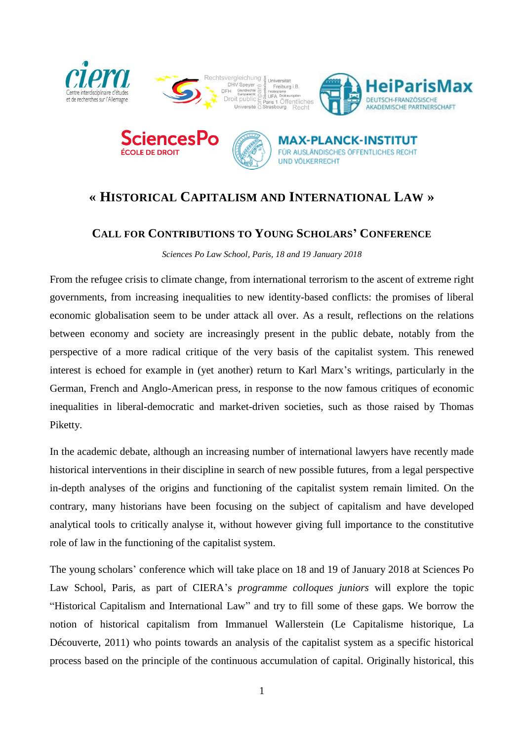

FÜR AUSLÄNDISCHES ÖFFENTLICHES RECHT

**UND VÕLKERRECHT** 



## **CALL FOR CONTRIBUTIONS TO YOUNG SCHOLARS' CONFERENCE**

*Sciences Po Law School, Paris, 18 and 19 January 2018*

From the refugee crisis to climate change, from international terrorism to the ascent of extreme right governments, from increasing inequalities to new identity-based conflicts: the promises of liberal economic globalisation seem to be under attack all over. As a result, reflections on the relations between economy and society are increasingly present in the public debate, notably from the perspective of a more radical critique of the very basis of the capitalist system. This renewed interest is echoed for example in (yet another) return to Karl Marx's writings, particularly in the German, French and Anglo-American press, in response to the now famous critiques of economic inequalities in liberal-democratic and market-driven societies, such as those raised by Thomas Piketty.

In the academic debate, although an increasing number of international lawyers have recently made historical interventions in their discipline in search of new possible futures, from a legal perspective in-depth analyses of the origins and functioning of the capitalist system remain limited. On the contrary, many historians have been focusing on the subject of capitalism and have developed analytical tools to critically analyse it, without however giving full importance to the constitutive role of law in the functioning of the capitalist system.

The young scholars' conference which will take place on 18 and 19 of January 2018 at Sciences Po Law School, Paris, as part of CIERA's *programme colloques juniors* will explore the topic "Historical Capitalism and International Law" and try to fill some of these gaps. We borrow the notion of historical capitalism from Immanuel Wallerstein (Le Capitalisme historique, La Découverte, 2011) who points towards an analysis of the capitalist system as a specific historical process based on the principle of the continuous accumulation of capital. Originally historical, this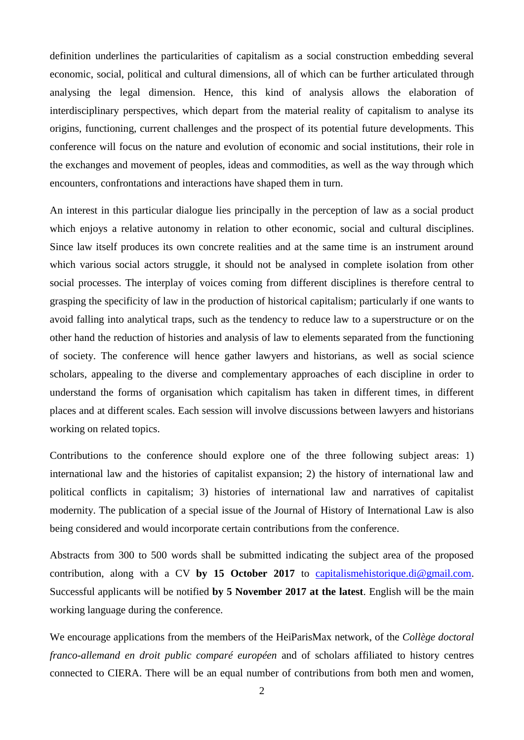definition underlines the particularities of capitalism as a social construction embedding several economic, social, political and cultural dimensions, all of which can be further articulated through analysing the legal dimension. Hence, this kind of analysis allows the elaboration of interdisciplinary perspectives, which depart from the material reality of capitalism to analyse its origins, functioning, current challenges and the prospect of its potential future developments. This conference will focus on the nature and evolution of economic and social institutions, their role in the exchanges and movement of peoples, ideas and commodities, as well as the way through which encounters, confrontations and interactions have shaped them in turn.

An interest in this particular dialogue lies principally in the perception of law as a social product which enjoys a relative autonomy in relation to other economic, social and cultural disciplines. Since law itself produces its own concrete realities and at the same time is an instrument around which various social actors struggle, it should not be analysed in complete isolation from other social processes. The interplay of voices coming from different disciplines is therefore central to grasping the specificity of law in the production of historical capitalism; particularly if one wants to avoid falling into analytical traps, such as the tendency to reduce law to a superstructure or on the other hand the reduction of histories and analysis of law to elements separated from the functioning of society. The conference will hence gather lawyers and historians, as well as social science scholars, appealing to the diverse and complementary approaches of each discipline in order to understand the forms of organisation which capitalism has taken in different times, in different places and at different scales. Each session will involve discussions between lawyers and historians working on related topics.

Contributions to the conference should explore one of the three following subject areas: 1) international law and the histories of capitalist expansion; 2) the history of international law and political conflicts in capitalism; 3) histories of international law and narratives of capitalist modernity. The publication of a special issue of the Journal of History of International Law is also being considered and would incorporate certain contributions from the conference.

Abstracts from 300 to 500 words shall be submitted indicating the subject area of the proposed contribution, along with a CV **by 15 October 2017** to [capitalismehistorique.di@gmail.com.](mailto:capitalismehistorique.di@gmail.com) Successful applicants will be notified **by 5 November 2017 at the latest**. English will be the main working language during the conference.

We encourage applications from the members of the HeiParisMax network, of the *Collège doctoral franco-allemand en droit public comparé européen* and of scholars affiliated to history centres connected to CIERA. There will be an equal number of contributions from both men and women,